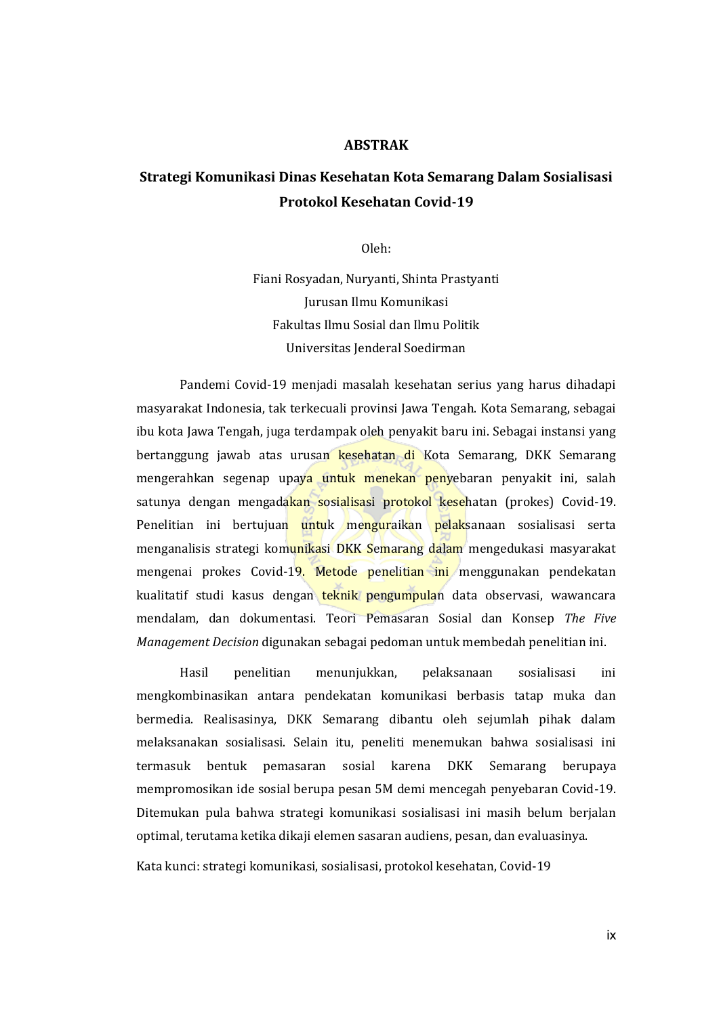## **ABSTRAK**

## **Strategi Komunikasi Dinas Kesehatan Kota Semarang Dalam Sosialisasi Protokol Kesehatan Covid-19**

Oleh:

Fiani Rosyadan, Nuryanti, Shinta Prastyanti Jurusan Ilmu Komunikasi Fakultas Ilmu Sosial dan Ilmu Politik Universitas Jenderal Soedirman

Pandemi Covid-19 menjadi masalah kesehatan serius yang harus dihadapi masyarakat Indonesia, tak terkecuali provinsi Jawa Tengah. Kota Semarang, sebagai ibu kota Jawa Tengah, juga terdampak oleh penyakit baru ini. Sebagai instansi yang bertanggung jawab atas urusan kesehatan di Kota Semarang, DKK Semarang mengerahkan segenap upaya untuk menekan penyebaran penyakit ini, salah satunya dengan mengadakan sosialisasi protokol kesehatan (prokes) Covid-19. Penelitian ini bertujuan untuk menguraikan pelaksanaan sosialisasi serta menganalisis strategi komunikasi DKK Semarang dalam mengedukasi masyarakat mengenai prokes Covid-19. Metode penelitian ini menggunakan pendekatan kualitatif studi kasus dengan teknik pengumpulan data observasi, wawancara mendalam, dan dokumentasi. Teori Pemasaran Sosial dan Konsep *The Five Management Decision* digunakan sebagai pedoman untuk membedah penelitian ini.

Hasil penelitian menunjukkan, pelaksanaan sosialisasi ini mengkombinasikan antara pendekatan komunikasi berbasis tatap muka dan bermedia. Realisasinya, DKK Semarang dibantu oleh sejumlah pihak dalam melaksanakan sosialisasi. Selain itu, peneliti menemukan bahwa sosialisasi ini termasuk bentuk pemasaran sosial karena DKK Semarang berupaya mempromosikan ide sosial berupa pesan 5M demi mencegah penyebaran Covid-19. Ditemukan pula bahwa strategi komunikasi sosialisasi ini masih belum berjalan optimal, terutama ketika dikaji elemen sasaran audiens, pesan, dan evaluasinya.

Kata kunci: strategi komunikasi, sosialisasi, protokol kesehatan, Covid-19